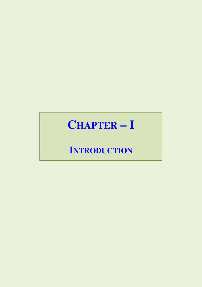# **CHAPTER - I**

## **INTRODUCTION**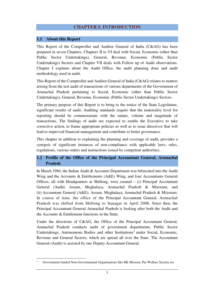### **CHAPTER I: INTRODUCTION**

#### **1.1 About this Report**

l

This Report of the Comptroller and Auditor General of India (C&AG) has been prepared in seven Chapters. Chapters II to VI deal with Social, Economic (other than Public Sector Undertakings), General, Revenue, Economic (Public Sector Undertakings) Sectors and Chapter VII deals with Follow up of Audit observations. Chapter I explains about the Audit Office, the audit planning done and audit methodology used in audit.

This Report of the Comptroller and Auditor General of India (C&AG) relates to matters arising from the test audit of transactions of various departments of the Government of Arunachal Pradesh pertaining to Social, Economic (other than Public Sector Undertakings), General, Revenue, Economic (Public Sector Undertakings) Sectors.

The primary purpose of this Report is to bring to the notice of the State Legislature, significant results of audit. Auditing standards require that the materiality level for reporting should be commensurate with the nature, volume and magnitude of transactions. The findings of audit are expected to enable the Executive to take corrective action, to frame appropriate policies as well as to issue directives that will lead to improved financial management and contribute to better governance.

This chapter in addition to explaining the planning and coverage of audit, provides a synopsis of significant instances of non-compliance with applicable laws, rules, regulations, various orders and instructions issued by competent authorities.

#### **1.2 Profile of the Office of the Principal Accountant General, Arunachal Pradesh**

In March 1984, the Indian Audit & Accounts Department was bifurcated into the Audit Wing and the Accounts & Entitlements (A&E) Wing, and four Accountants General Offices, all with Headquarters at Shillong, were created – (i) Principal Accountant General (Audit) Assam, Meghalaya, Arunachal Pradesh & Mizoram; and (ii) Accountant General (A&E), Assam, Meghalaya, Arunachal Pradesh & Mizoram. In course of time, the office of the Principal Accountant General, Arunachal Pradesh was shifted from Shillong to Itanagar in April 2006. Since then, the Principal Accountant General Arunachal Pradesh is looking after both the Audit and the Accounts & Entitlement functions in the State.

Under the directions of C&AG, the Office of the Principal Accountant General, Arunachal Pradesh conducts audit of government departments, Public Sector Undertakings, Autonomous Bodies and other Institutions<sup>1</sup> under Social, Economic, Revenue and General Sectors, which are spread all over the State. The Accountant General (Audit) is assisted by one Deputy Accountant General.

<sup>1</sup> Government funded Non-Governmental Organisations like RK Mission, Pui Welfare Society etc.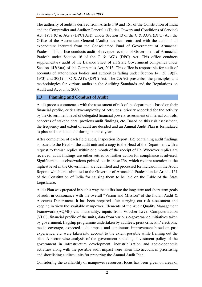The authority of audit is derived from Article 149 and 151 of the Constitution of India and the Comptroller and Auditor General's (Duties, Powers and Conditions of Service) Act, 1971 (C & AG's (DPC) Act). Under Section 13 of the C & AG's (DPC) Act, the Office of the Accountant General (Audit) has been entrusted with the audit of all expenditure incurred from the Consolidated Fund of Government of Arunachal Pradesh. This office conducts audit of revenue receipts of Government of Arunachal Pradesh under Section 16 of the C & AG's (DPC) Act. This office conducts supplementary audit of the Balance Sheet of all State Government companies under Section 143(6)(a) of the Companies Act, 2013. This office is responsible for audit of accounts of autonomous bodies and authorities falling under Section 14, 15, 19(2), 19(3) and 20(1) of C & AG's (DPC) Act. The C&AG prescribes the principles and methodologies for various audits in the Auditing Standards and the Regulations on Audit and Accounts, 2007.

#### **1.3 Planning and Conduct of Audit**

Audit process commences with the assessment of risk of the departments based on their financial profile, criticality/complexity of activities, priority accorded for the activity by the Government, level of delegated financial powers, assessment of internal controls, concerns of stakeholders, previous audit findings, etc. Based on this risk assessment, the frequency and extent of audit are decided and an Annual Audit Plan is formulated to plan and conduct audit during the next year.

After completion of each field audit, Inspection Report (IR) containing audit findings is issued to the Head of the audit unit and a copy to the Head of the Department with a request to furnish replies within one month of the receipt of IR. Wherever replies are received, audit findings are either settled or further action for compliance is advised. Significant audit observations pointed out in these IRs, which require attention at the highest level in the Government, are identified and processed for inclusion in the Audit Reports which are submitted to the Governor of Arunachal Pradesh under Article 151 of the Constitution of India for causing them to be laid on the Table of the State Legislature.

Audit Plan was prepared in such a way that it fits into the long term and short term goals of audit in consonance with the overall "Vision and Mission" of the Indian Audit & Accounts Department. It has been prepared after carrying out risk assessment and keeping in view the available manpower. Elements of the Audit Quality Management Framework (AQMF) viz. materiality, inputs from Voucher Level Computerization (VLC), financial profile of the units, data from various e-governance initiatives taken by government, flagship programme undertaken by auditees, press criticism/ electronic media coverage, expected audit impact and continuous improvement based on past experience, etc. were taken into account to the extent possible while framing out the plan. A sector wise analysis of the government spending, investment policy of the government in infrastructure development, industrialization and socio-economic activities along with the possible audit impact were taken into account in prioritising and shortlisting auditee units for preparing the Annual Audit Plan.

Considering the availability of manpower resources, focus has been given on areas of